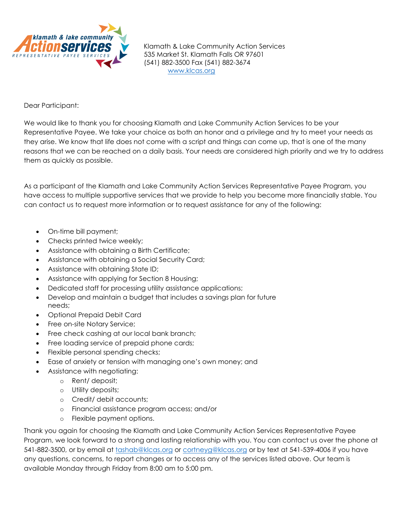

Klamath & Lake Community Action Services 535 Market St. Klamath Falls OR 97601 (541) 882-3500 Fax (541) 882-3674 [www.klcas.org](http://www.klcas.org/)

Dear Participant:

We would like to thank you for choosing Klamath and Lake Community Action Services to be your Representative Payee. We take your choice as both an honor and a privilege and try to meet your needs as they arise. We know that life does not come with a script and things can come up, that is one of the many reasons that we can be reached on a daily basis. Your needs are considered high priority and we try to address them as quickly as possible.

As a participant of the Klamath and Lake Community Action Services Representative Payee Program, you have access to multiple supportive services that we provide to help you become more financially stable. You can contact us to request more information or to request assistance for any of the following:

- On-time bill payment;
- Checks printed twice weekly;
- Assistance with obtaining a Birth Certificate;
- Assistance with obtaining a Social Security Card;
- Assistance with obtaining State ID;
- Assistance with applying for Section 8 Housing;
- Dedicated staff for processing utility assistance applications;
- Develop and maintain a budget that includes a savings plan for future needs;
- Optional Prepaid Debit Card
- Free on-site Notary Service;
- Free check cashing at our local bank branch;
- Free loading service of prepaid phone cards;
- Flexible personal spending checks;
- Ease of anxiety or tension with managing one's own money; and
	- Assistance with negotiating:
		- o Rent/ deposit;
		- o Utility deposits;
		- o Credit/ debit accounts;
		- o Financial assistance program access; and/or
		- o Flexible payment options.

Thank you again for choosing the Klamath and Lake Community Action Services Representative Payee Program, we look forward to a strong and lasting relationship with you. You can contact us over the phone at 541-882-3500, or by email at tashab@klcas.org [or cortneyg@klcas.org](mailto:tashab@klcas.org) or by text at 541-539-4006 if you have any questions, concerns, to report changes or to access any of the services listed above. Our team is available Monday through Friday from 8:00 am to 5:00 pm.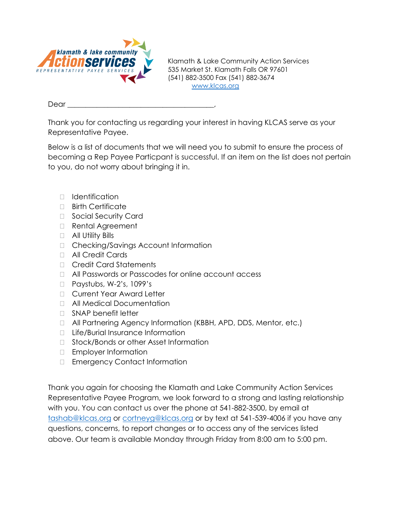

Klamath & Lake Community Action Services 535 Market St. Klamath Falls OR 97601 (541) 882-3500 Fax (541) 882-3674 [www.klcas.org](http://www.klcas.org/)

Dear

Thank you for contacting us regarding your interest in having KLCAS serve as your Representative Payee.

Below is a list of documents that we will need you to submit to ensure the process of becoming a Rep Payee Particpant is successful. If an item on the list does not pertain to you, do not worry about bringing it in.

- Identification
- □ Birth Certificate
- □ Social Security Card
- □ Rental Agreement
- □ All Utility Bills
- □ Checking/Savings Account Information
- **D** All Credit Cards
- □ Credit Card Statements
- All Passwords or Passcodes for online account access
- □ Paystubs, W-2's, 1099's
- □ Current Year Award Letter
- All Medical Documentation
- □ SNAP benefit letter
- □ All Partnering Agency Information (KBBH, APD, DDS, Mentor, etc.)
- □ Life/Burial Insurance Information
- □ Stock/Bonds or other Asset Information
- **Employer Information**
- □ Emergency Contact Information

Thank you again for choosing the Klamath and Lake Community Action Services Representative Payee Program, we look forward to a strong and lasting relationship with you. You can contact us over the phone at 541-882-3500, by email at [tashab@klcas.org](mailto:tashab@klcas.org) or cortneyg@klcas.org or by text at 541-539-4006 if you have any questions, concerns, to report changes or to access any of the services listed above. Our team is available Monday through Friday from 8:00 am to 5:00 pm.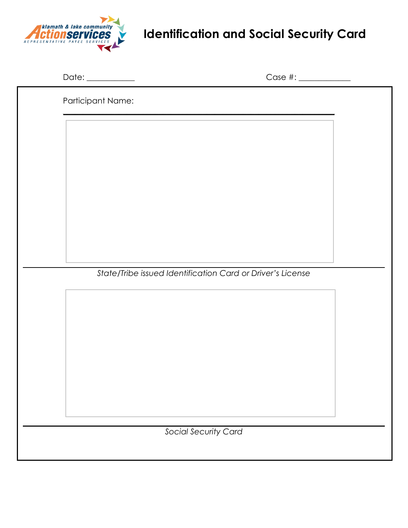

## **Identification and Social Security Card**

|                      | Date: __________                                           | Case #: ______________ |  |  |
|----------------------|------------------------------------------------------------|------------------------|--|--|
|                      | Participant Name:                                          |                        |  |  |
|                      |                                                            |                        |  |  |
|                      |                                                            |                        |  |  |
|                      |                                                            |                        |  |  |
|                      |                                                            |                        |  |  |
|                      |                                                            |                        |  |  |
|                      |                                                            |                        |  |  |
|                      |                                                            |                        |  |  |
|                      | State/Tribe issued Identification Card or Driver's License |                        |  |  |
|                      |                                                            |                        |  |  |
|                      |                                                            |                        |  |  |
|                      |                                                            |                        |  |  |
|                      |                                                            |                        |  |  |
|                      |                                                            |                        |  |  |
|                      |                                                            |                        |  |  |
| Social Security Card |                                                            |                        |  |  |
|                      |                                                            |                        |  |  |
|                      |                                                            |                        |  |  |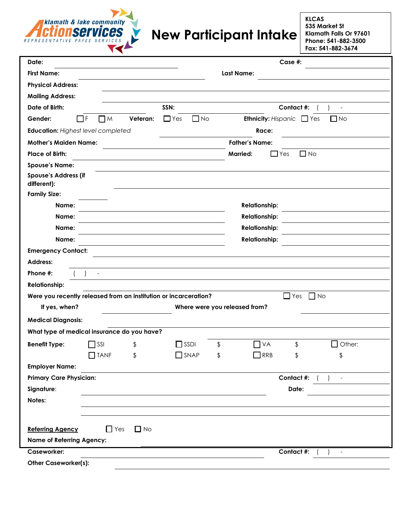

## **New Participant Intake**

**KLCAS 535 Market St Klamath Falls Or 97601 Phone: 541-882-3500 Fax: 541-882-3674**

| Date:                                                            | Case #:                                                            |  |  |  |
|------------------------------------------------------------------|--------------------------------------------------------------------|--|--|--|
| <b>First Name:</b>                                               | <b>Last Name:</b>                                                  |  |  |  |
| <b>Physical Address:</b>                                         |                                                                    |  |  |  |
| <b>Mailing Address:</b>                                          |                                                                    |  |  |  |
| Date of Birth:<br>SSN:                                           | Contact #:<br>$\blacksquare$                                       |  |  |  |
| ПF<br>Veteran:<br>$\Box$ Yes<br>Gender:<br>Пм                    | $\Box$ No<br><b>Ethnicity: Hispanic</b><br>$\Box$ Yes<br>$\Box$ No |  |  |  |
| Education: Highest level completed                               | Race:                                                              |  |  |  |
| <b>Father's Name:</b><br><b>Mother's Maiden Name:</b>            |                                                                    |  |  |  |
| <b>Place of Birth:</b>                                           | $\Box$ No<br><b>Married:</b><br>l Yes                              |  |  |  |
| <b>Spouse's Name:</b>                                            |                                                                    |  |  |  |
| Spouse's Address (if<br>different):                              |                                                                    |  |  |  |
| <b>Family Size:</b>                                              |                                                                    |  |  |  |
| Name:                                                            | <b>Relationship:</b>                                               |  |  |  |
| Name:                                                            | <b>Relationship:</b>                                               |  |  |  |
| Name:                                                            | <b>Relationship:</b>                                               |  |  |  |
| Name:                                                            | <b>Relationship:</b>                                               |  |  |  |
| <b>Emergency Contact:</b>                                        |                                                                    |  |  |  |
| <b>Address:</b>                                                  |                                                                    |  |  |  |
| Phone #:                                                         |                                                                    |  |  |  |
| <b>Relationship:</b>                                             |                                                                    |  |  |  |
| Were you recently released from an institution or incarceration? | $\Box$ No<br>Yes<br>l 1                                            |  |  |  |
| If yes, when?                                                    | Where were you released from?                                      |  |  |  |
| <b>Medical Diagnosis:</b>                                        |                                                                    |  |  |  |
| What type of medical insurance do you have?                      |                                                                    |  |  |  |
| $\Box$ SSDI<br><b>Benefit Type:</b><br>SSI<br>\$                 | Other:<br>\$<br>VA<br>\$<br>H                                      |  |  |  |
| $\Box$ TANF<br>\$<br>$\Box$ SNAP                                 | \$<br>$\Box$ RRB<br>\$<br>\$                                       |  |  |  |
| <b>Employer Name:</b>                                            |                                                                    |  |  |  |
| <b>Primary Care Physician:</b>                                   | Contact #:                                                         |  |  |  |
| Signature:                                                       | Date:                                                              |  |  |  |
| Notes:                                                           |                                                                    |  |  |  |
|                                                                  |                                                                    |  |  |  |
| $\Box$ No<br><b>Referring Agency</b><br>$\Box$ Yes               |                                                                    |  |  |  |
| <b>Name of Referring Agency:</b>                                 |                                                                    |  |  |  |
| Caseworker:                                                      | Contact #:<br>$\overline{\phantom{a}}$                             |  |  |  |
| <b>Other Caseworker(s):</b>                                      |                                                                    |  |  |  |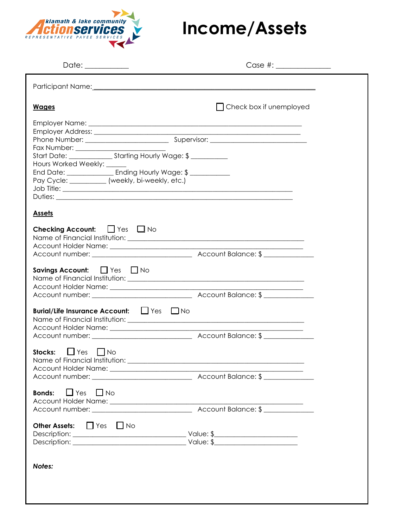

## **Income/Assets**

| Date: ___________                                                                                                                                                                                                               |                                |
|---------------------------------------------------------------------------------------------------------------------------------------------------------------------------------------------------------------------------------|--------------------------------|
| Participant Name: 1988 and 2008 and 2008 and 2008 and 2008 and 2008 and 2008 and 2008 and 2008 and 2008 and 20                                                                                                                  |                                |
| <b>Wages</b>                                                                                                                                                                                                                    | $\Box$ Check box if unemployed |
| Start Date: _____________________ Starting Hourly Wage: \$ ___________<br>Hours Worked Weekly: _____<br>End Date: ____________________ Ending Hourly Wage: \$ ______________<br>Pay Cycle: __________ (weekly, bi-weekly, etc.) |                                |
| <b>Assets</b>                                                                                                                                                                                                                   |                                |
| <b>Checking Account:</b> $\Box$ Yes $\Box$ No                                                                                                                                                                                   |                                |
| Savings Account: $\Box$ Yes $\Box$ No                                                                                                                                                                                           |                                |
| Burial/Life Insurance Account: Lives DNo                                                                                                                                                                                        |                                |
| $\Box$ Yes<br>Stocks:<br><b>No</b>                                                                                                                                                                                              |                                |
| $\Box$ Yes<br>$\Box$ No<br><b>Bonds:</b>                                                                                                                                                                                        |                                |
| Other Assets: TYes TNo                                                                                                                                                                                                          |                                |
| Notes:                                                                                                                                                                                                                          |                                |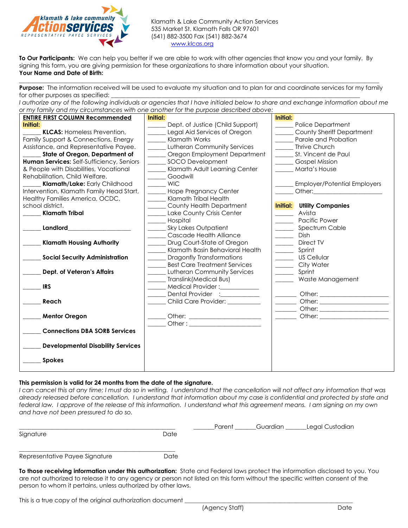

Klamath & Lake Community Action Services 535 Market St. Klamath Falls OR 97601 (541) 882-3500 Fax (541) 882-3674 [www.klcas.org](http://www.klcas.org/)

**To Our Participants:** We can help you better if we are able to work with other agencies that know you and your family. By signing this form, you are giving permission for these organizations to share information about your situation. **Your Name and Date of Birth:** 

 $\Box$ **Purpose:** The information received will be used to evaluate my situation and to plan for and coordinate services for my family for other purposes as specified:

*I authorize any of the following individuals or agencies that I have initialed below to share and exchange information about me or my family and my circumstances with one another for the purpose described above:*

| <b>ENTIRE FIRST COLUMN Recommended</b>    | Initial:                                       | Initial:                                                                                                                                                                                                                       |  |  |  |
|-------------------------------------------|------------------------------------------------|--------------------------------------------------------------------------------------------------------------------------------------------------------------------------------------------------------------------------------|--|--|--|
| Initial:                                  | Dept. of Justice (Child Support)               | <b>Police Department</b>                                                                                                                                                                                                       |  |  |  |
| <b>KLCAS: Homeless Prevention,</b>        | Legal Aid Services of Oregon                   | County Sheriff Department                                                                                                                                                                                                      |  |  |  |
| Family Support & Connections, Energy      | Klamath Works                                  | Parole and Probation                                                                                                                                                                                                           |  |  |  |
| Assistance, and Representative Payee.     | <b>Lutheran Community Services</b>             | Thrive Church                                                                                                                                                                                                                  |  |  |  |
| State of Oregon, Department of            | Oregon Employment Department                   | St. Vincent de Paul                                                                                                                                                                                                            |  |  |  |
| Human Services: Self-Sufficiency, Seniors | SOCO Development                               | <b>Gospel Mission</b>                                                                                                                                                                                                          |  |  |  |
| & People with Disabilities, Vocational    | Klamath Adult Learning Center<br>Marta's House |                                                                                                                                                                                                                                |  |  |  |
| Rehabilitation, Child Welfare.            | Goodwill                                       |                                                                                                                                                                                                                                |  |  |  |
| Klamath/Lake: Early Childhood             | <b>WIC</b>                                     | <b>Employer/Potential Employers</b>                                                                                                                                                                                            |  |  |  |
| Intervention, Klamath Family Head Start,  | Hope Pregnancy Center                          | Other: the contract of the contract of the contract of the contract of the contract of the contract of the contract of the contract of the contract of the contract of the contract of the contract of the contract of the con |  |  |  |
| Healthy Families America, OCDC,           | Klamath Tribal Health                          |                                                                                                                                                                                                                                |  |  |  |
| school district.                          | County Health Department                       | Initial:<br><b>Utility Companies</b>                                                                                                                                                                                           |  |  |  |
| <b>Klamath Tribal</b>                     | Lake County Crisis Center                      | Avista                                                                                                                                                                                                                         |  |  |  |
|                                           | Hospital                                       | Pacific Power                                                                                                                                                                                                                  |  |  |  |
| Landlord                                  | <b>Sky Lakes Outpatient</b>                    | Spectrum Cable                                                                                                                                                                                                                 |  |  |  |
|                                           | Cascade Health Alliance                        | <b>Dish</b>                                                                                                                                                                                                                    |  |  |  |
| <b>Klamath Housing Authority</b>          | Drug Court-State of Oregon                     | Direct TV                                                                                                                                                                                                                      |  |  |  |
|                                           | Klamath Basin Behavioral Health                | Sprint                                                                                                                                                                                                                         |  |  |  |
| <b>Social Security Administration</b>     | <b>Dragonfly Transformations</b>               | <b>US Cellular</b>                                                                                                                                                                                                             |  |  |  |
|                                           | <b>Best Care Treatment Services</b>            | City Water                                                                                                                                                                                                                     |  |  |  |
| Dept. of Veteran's Affairs                | <b>Lutheran Community Services</b>             | Sprint                                                                                                                                                                                                                         |  |  |  |
|                                           | Translink (Medical Bus)                        | Waste Management                                                                                                                                                                                                               |  |  |  |
| <b>IRS</b>                                | Medical Provider: ___________                  |                                                                                                                                                                                                                                |  |  |  |
|                                           | Dental Provider :                              |                                                                                                                                                                                                                                |  |  |  |
| Reach                                     | Child Care Provider:                           |                                                                                                                                                                                                                                |  |  |  |
|                                           |                                                |                                                                                                                                                                                                                                |  |  |  |
| <b>Mentor Oregon</b>                      |                                                | Other: will be a series of the series of the series of the series of the series of the series of the series of the series of the series of the series of the series of the series of the series of the series of the series of |  |  |  |
|                                           |                                                |                                                                                                                                                                                                                                |  |  |  |
| <b>Connections DBA SORB Services</b>      |                                                |                                                                                                                                                                                                                                |  |  |  |
|                                           |                                                |                                                                                                                                                                                                                                |  |  |  |
| <b>Developmental Disability Services</b>  |                                                |                                                                                                                                                                                                                                |  |  |  |
|                                           |                                                |                                                                                                                                                                                                                                |  |  |  |
| <b>Spokes</b>                             |                                                |                                                                                                                                                                                                                                |  |  |  |
|                                           |                                                |                                                                                                                                                                                                                                |  |  |  |

## **This permission is valid for 24 months from the date of the signature.**

*I can cancel this at any time; I must do so in writing. I understand that the cancellation will not affect any information that was already released before cancellation. I understand that information about my case is confidential and protected by state and federal law. I approve of the release of this information. I understand what this agreement means. I am signing on my own and have not been pressured to do so.*

|                                | Legal Custodian<br>Guardian<br>Parent                                                                                    |  |
|--------------------------------|--------------------------------------------------------------------------------------------------------------------------|--|
| Signature                      | Date                                                                                                                     |  |
|                                |                                                                                                                          |  |
| Representative Payee Signature | Date                                                                                                                     |  |
|                                | To those receiving information under this authorization: State and Federal laws protect the information disclosed to you |  |

**To those receiving information under this authorization:** State and Federal laws protect the information disclosed to you. You are not authorized to release it to any agency or person not listed on this form without the specific written consent of the person to whom it pertains, unless authorized by other laws.

This is a true copy of the original authorization document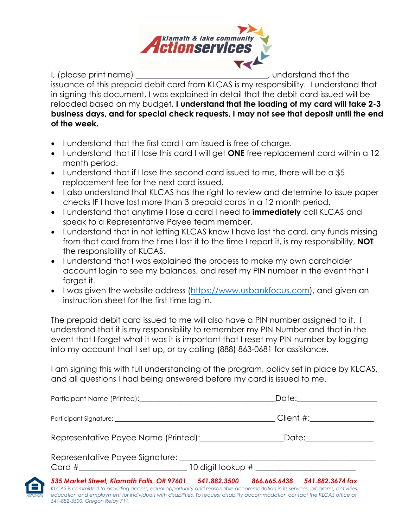

I, (please print name) and is a set of the set of the set of the set of the set of the set of the set of the s

issuance of this prepaid debit card from KLCAS is my responsibility. I understand that in signing this document, I was explained in detail that the debit card issued will be reloaded based on my budget. **I understand that the loading of my card will take 2-3 business days, and for special check requests, I may not see that deposit until the end of the week.** 

- I understand that the first card I am issued is free of charge.
- I understand that if I lose this card I will get **ONE** free replacement card within a 12 month period.
- I understand that if I lose the second card issued to me, there will be a \$5 replacement fee for the next card issued.
- I also understand that KLCAS has the right to review and determine to issue paper checks IF I have lost more than 3 prepaid cards in a 12 month period.
- I understand that anytime I lose a card I need to **immediately** call KLCAS and speak to a Representative Payee team member.
- I understand that in not letting KLCAS know I have lost the card, any funds missing from that card from the time I lost it to the time I report it, is my responsibility, **NOT** the responsibility of KLCAS.
- I understand that I was explained the process to make my own cardholder account login to see my balances, and reset my PIN number in the event that I forget it.
- I was given the website address [\(https://www.usbankfocus.com\)](https://www.usbankfocus.com/), and given an instruction sheet for the first time log in.

The prepaid debit card issued to me will also have a PIN number assigned to it. I understand that it is my responsibility to remember my PIN Number and that in the event that I forget what it was it is important that I reset my PIN number by logging into my account that I set up, or by calling (888) 863-0681 for assistance.

I am signing this with full understanding of the program, policy set in place by KLCAS, and all questions I had being answered before my card is issued to me.

| Participant Name (Printed): [2010]                                                                                                                                                                                                                                                               |                           |  |  |  |
|--------------------------------------------------------------------------------------------------------------------------------------------------------------------------------------------------------------------------------------------------------------------------------------------------|---------------------------|--|--|--|
|                                                                                                                                                                                                                                                                                                  | Client #:________________ |  |  |  |
|                                                                                                                                                                                                                                                                                                  | Date:________________     |  |  |  |
|                                                                                                                                                                                                                                                                                                  |                           |  |  |  |
| 541.882.3674 fax<br>866.665.6438<br>KLCAS is committed to providing access, equal opportunity and reasonable accommodation in its services, programs, activities,<br>education and employment for individuals with disabilities. To request disability accommodation contact the KLCAS office at |                           |  |  |  |



*541-882-3500. Oregon Relay 711.*